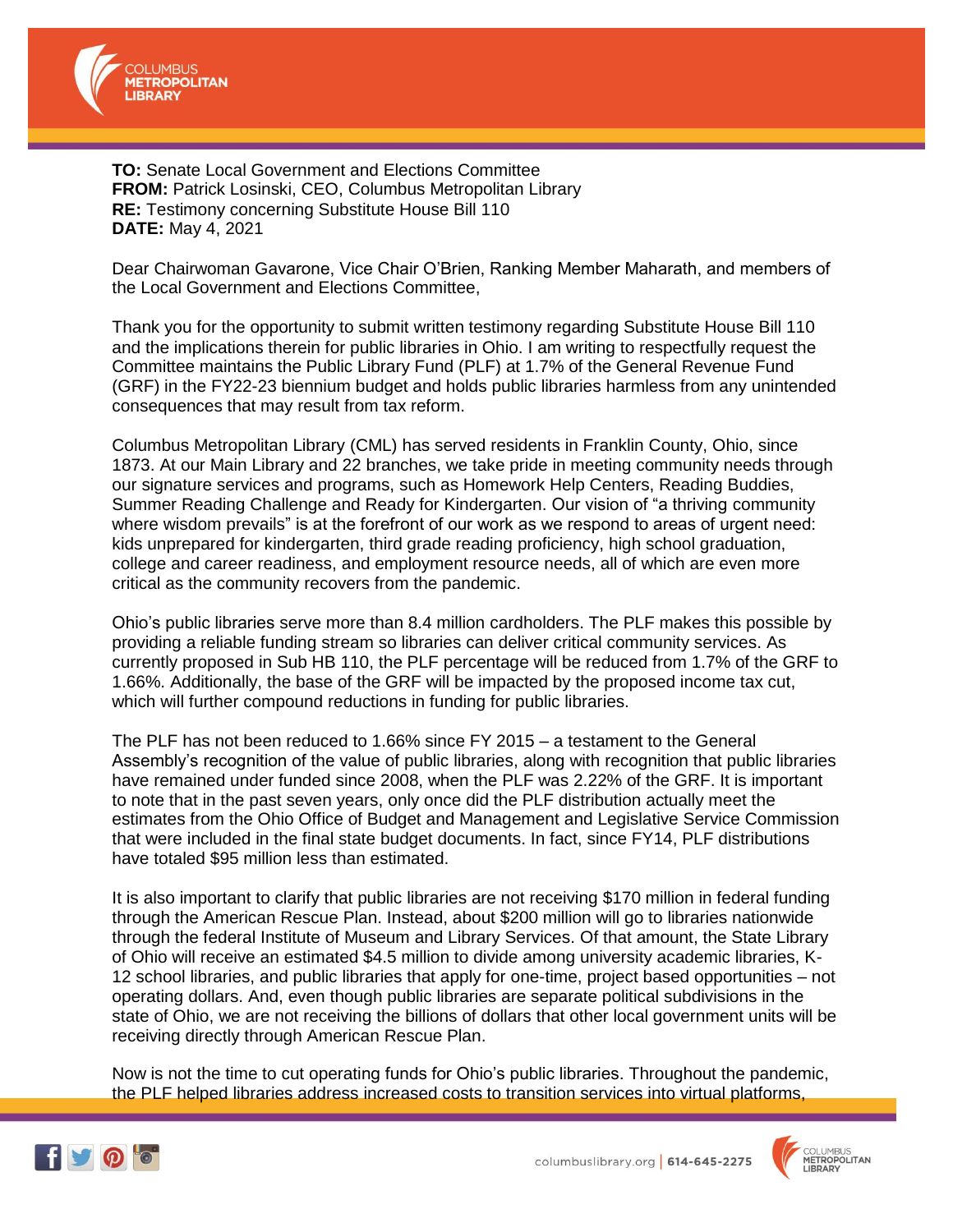

**TO:** Senate Local Government and Elections Committee **FROM:** Patrick Losinski, CEO, Columbus Metropolitan Library **RE:** Testimony concerning Substitute House Bill 110 **DATE:** May 4, 2021

Dear Chairwoman Gavarone, Vice Chair O'Brien, Ranking Member Maharath, and members of the Local Government and Elections Committee,

Thank you for the opportunity to submit written testimony regarding Substitute House Bill 110 and the implications therein for public libraries in Ohio. I am writing to respectfully request the Committee maintains the Public Library Fund (PLF) at 1.7% of the General Revenue Fund (GRF) in the FY22-23 biennium budget and holds public libraries harmless from any unintended consequences that may result from tax reform.

Columbus Metropolitan Library (CML) has served residents in Franklin County, Ohio, since 1873. At our Main Library and 22 branches, we take pride in meeting community needs through our signature services and programs, such as Homework Help Centers, Reading Buddies, Summer Reading Challenge and Ready for Kindergarten. Our vision of "a thriving community where wisdom prevails" is at the forefront of our work as we respond to areas of urgent need: kids unprepared for kindergarten, third grade reading proficiency, high school graduation, college and career readiness, and employment resource needs, all of which are even more critical as the community recovers from the pandemic.

Ohio's public libraries serve more than 8.4 million cardholders. The PLF makes this possible by providing a reliable funding stream so libraries can deliver critical community services. As currently proposed in Sub HB 110, the PLF percentage will be reduced from 1.7% of the GRF to 1.66%. Additionally, the base of the GRF will be impacted by the proposed income tax cut, which will further compound reductions in funding for public libraries.

The PLF has not been reduced to 1.66% since FY 2015 – a testament to the General Assembly's recognition of the value of public libraries, along with recognition that public libraries have remained under funded since 2008, when the PLF was 2.22% of the GRF. It is important to note that in the past seven years, only once did the PLF distribution actually meet the estimates from the Ohio Office of Budget and Management and Legislative Service Commission that were included in the final state budget documents. In fact, since FY14, PLF distributions have totaled \$95 million less than estimated.

It is also important to clarify that public libraries are not receiving \$170 million in federal funding through the American Rescue Plan. Instead, about \$200 million will go to libraries nationwide through the federal Institute of Museum and Library Services. Of that amount, the State Library of Ohio will receive an estimated \$4.5 million to divide among university academic libraries, K-12 school libraries, and public libraries that apply for one-time, project based opportunities – not operating dollars. And, even though public libraries are separate political subdivisions in the state of Ohio, we are not receiving the billions of dollars that other local government units will be receiving directly through American Rescue Plan.

Now is not the time to cut operating funds for Ohio's public libraries. Throughout the pandemic, the PLF helped libraries address increased costs to transition services into virtual platforms,